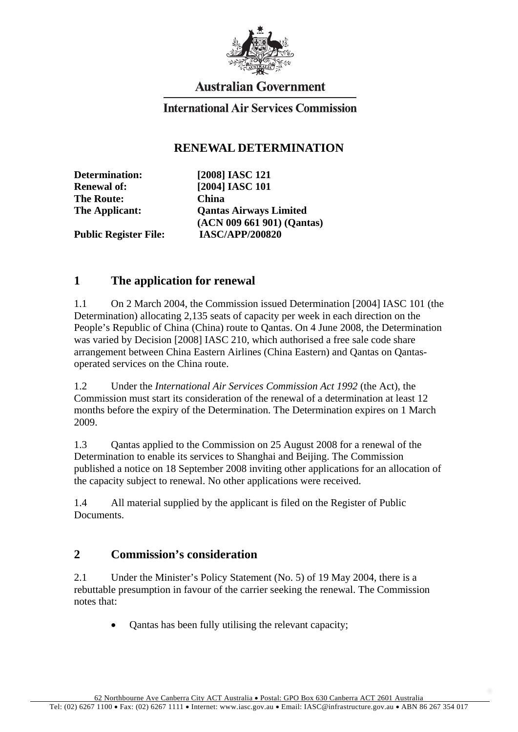

# **Australian Government**

#### **International Air Services Commission**

#### **RENEWAL DETERMINATION**

**The Route: China** 

**Determination: [2008] IASC 121 Renewal of: [2004] IASC 101 The Applicant: Qantas Airways Limited (ACN 009 661 901) (Qantas)** 

**Public Register File: IASC/APP/200820** 

## **1 The application for renewal**

1.1 On 2 March 2004, the Commission issued Determination [2004] IASC 101 (the Determination) allocating 2,135 seats of capacity per week in each direction on the People's Republic of China (China) route to Qantas. On 4 June 2008, the Determination was varied by Decision [2008] IASC 210, which authorised a free sale code share arrangement between China Eastern Airlines (China Eastern) and Qantas on Qantasoperated services on the China route.

1.2 Under the *International Air Services Commission Act 1992* (the Act), the Commission must start its consideration of the renewal of a determination at least 12 months before the expiry of the Determination. The Determination expires on 1 March 2009.

1.3 Qantas applied to the Commission on 25 August 2008 for a renewal of the Determination to enable its services to Shanghai and Beijing. The Commission published a notice on 18 September 2008 inviting other applications for an allocation of the capacity subject to renewal. No other applications were received.

1.4 All material supplied by the applicant is filed on the Register of Public Documents.

## **2 Commission's consideration**

2.1 Under the Minister's Policy Statement (No. 5) of 19 May 2004, there is a rebuttable presumption in favour of the carrier seeking the renewal. The Commission notes that:

• Qantas has been fully utilising the relevant capacity;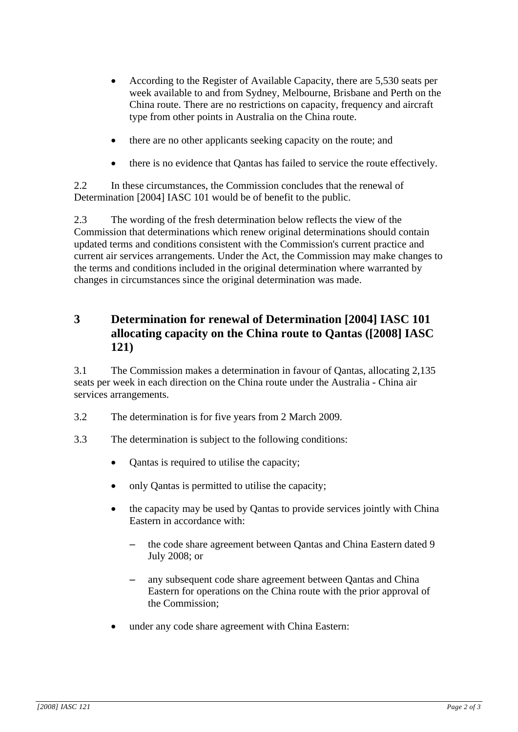- According to the Register of Available Capacity, there are 5,530 seats per week available to and from Sydney, Melbourne, Brisbane and Perth on the China route. There are no restrictions on capacity, frequency and aircraft type from other points in Australia on the China route.
- there are no other applicants seeking capacity on the route; and
- there is no evidence that Qantas has failed to service the route effectively.

2.2 In these circumstances, the Commission concludes that the renewal of Determination [2004] IASC 101 would be of benefit to the public.

2.3 The wording of the fresh determination below reflects the view of the Commission that determinations which renew original determinations should contain updated terms and conditions consistent with the Commission's current practice and current air services arrangements. Under the Act, the Commission may make changes to the terms and conditions included in the original determination where warranted by changes in circumstances since the original determination was made.

## **3 Determination for renewal of Determination [2004] IASC 101 allocating capacity on the China route to Qantas ([2008] IASC 121)**

3.1 The Commission makes a determination in favour of Qantas, allocating 2,135 seats per week in each direction on the China route under the Australia - China air services arrangements.

- 3.2 The determination is for five years from 2 March 2009.
- 3.3 The determination is subject to the following conditions:
	- Qantas is required to utilise the capacity;
	- only Qantas is permitted to utilise the capacity;
	- the capacity may be used by Qantas to provide services jointly with China Eastern in accordance with:
		- the code share agreement between Qantas and China Eastern dated 9 July 2008; or
		- any subsequent code share agreement between Qantas and China Eastern for operations on the China route with the prior approval of the Commission;
	- under any code share agreement with China Eastern: